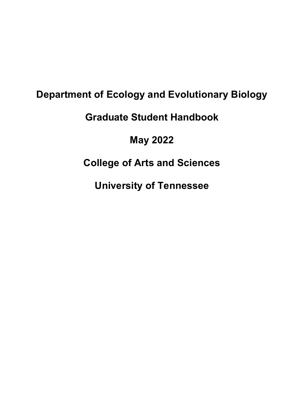# **Department of Ecology and Evolutionary Biology**

# **Graduate Student Handbook**

## **May 2022**

# **College of Arts and Sciences**

**University of Tennessee**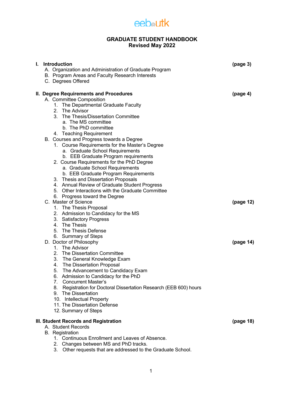

### **GRADUATE STUDENT HANDBOOK Revised May 2022**

| L. | Introduction<br>A. Organization and Administration of Graduate Program<br>B. Program Areas and Faculty Research Interests<br>C. Degrees Offered                                                                                                                                                                                                                                                                                                                                                             | (page 3)             |
|----|-------------------------------------------------------------------------------------------------------------------------------------------------------------------------------------------------------------------------------------------------------------------------------------------------------------------------------------------------------------------------------------------------------------------------------------------------------------------------------------------------------------|----------------------|
|    | II. Degree Requirements and Procedures<br>A. Committee Composition<br>1. The Departmental Graduate Faculty<br>2. The Advisor<br>3. The Thesis/Dissertation Committee<br>a. The MS committee<br>b. The PhD committee<br>4. Teaching Requirement<br>B. Courses and Progress towards a Degree<br>1. Course Requirements for the Master's Degree<br>a. Graduate School Requirements                                                                                                                             | (page <sub>4</sub> ) |
|    | b. EEB Graduate Program requirements<br>2. Course Requirements for the PhD Degree<br>a. Graduate School Requirements<br>b. EEB Graduate Program Requirements<br>3. Thesis and Dissertation Proposals<br>4. Annual Review of Graduate Student Progress<br>5. Other Interactions with the Graduate Committee<br>6. Progress toward the Degree<br>C. Master of Science<br>1. The Thesis Proposal<br>2. Admission to Candidacy for the MS<br>3. Satisfactory Progress<br>4. The Thesis<br>5. The Thesis Defense | (page 12)            |
|    | 6. Summary of Steps<br>D. Doctor of Philosophy<br>1. The Advisor<br>2. The Dissertation Committee<br>3. The General Knowledge Exam<br>4. The Dissertation Proposal<br>5. The Advancement to Candidacy Exam<br>6. Admission to Candidacy for the PhD<br>7. Concurrent Master's<br>Registration for Doctoral Dissertation Research (EEB 600) hours<br>8.<br>9. The Dissertation<br>10. Intellectual Property<br>11. The Dissertation Defense<br>12. Summary of Steps                                          | (page 14)            |
|    | III. Student Records and Registration<br>A. Student Records<br><b>B.</b> Registration<br>1. Continuous Enrollment and Leaves of Absence.<br>2. Changes between MS and PhD tracks.<br>3. Other requests that are addressed to the Graduate School.                                                                                                                                                                                                                                                           | (page 18)            |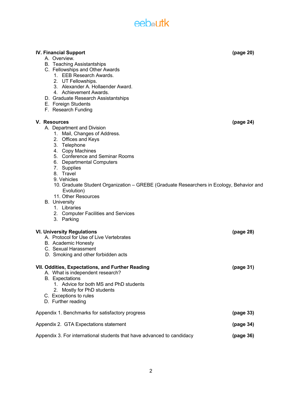## **eeb**<sup>a</sup>utk

**IV. Financial Support (page 20)**

A. Overview.

| <b>B.</b> Teaching Assistantships<br>C. Fellowships and Other Awards<br>1. EEB Research Awards.<br>2. UT Fellowships.<br>3. Alexander A. Hollaender Award.<br>4. Achievement Awards.<br>D. Graduate Research Assistantships<br>E. Foreign Students<br>F. Research Funding                                                                                  |           |  |
|------------------------------------------------------------------------------------------------------------------------------------------------------------------------------------------------------------------------------------------------------------------------------------------------------------------------------------------------------------|-----------|--|
| V. Resources<br>A. Department and Division<br>1. Mail, Changes of Address.<br>2. Offices and Keys<br>3. Telephone<br>4. Copy Machines<br>5. Conference and Seminar Rooms<br>6. Departmental Computers<br>7. Supplies<br>8. Travel<br>9. Vehicles<br>10. Graduate Student Organization – GREBE (Graduate Researchers in Ecology, Behavior and<br>Evolution) | (page 24) |  |
| 11. Other Resources<br><b>B.</b> University<br>1. Libraries<br>2. Computer Facilities and Services<br>3. Parking                                                                                                                                                                                                                                           |           |  |
| <b>VI. University Regulations</b><br>A. Protocol for Use of Live Vertebrates<br>B. Academic Honesty<br>C. Sexual Harassment<br>D. Smoking and other forbidden acts                                                                                                                                                                                         | (page 28) |  |
| VII. Oddities, Expectations, and Further Reading<br>A. What is independent research?<br><b>B.</b> Expectations<br>1. Advice for both MS and PhD students<br>2. Mostly for PhD students<br>C. Exceptions to rules<br>D. Further reading                                                                                                                     | (page 31) |  |
| Appendix 1. Benchmarks for satisfactory progress                                                                                                                                                                                                                                                                                                           |           |  |
| Appendix 2. GTA Expectations statement<br>(page 34)                                                                                                                                                                                                                                                                                                        |           |  |
| Appendix 3. For international students that have advanced to candidacy                                                                                                                                                                                                                                                                                     |           |  |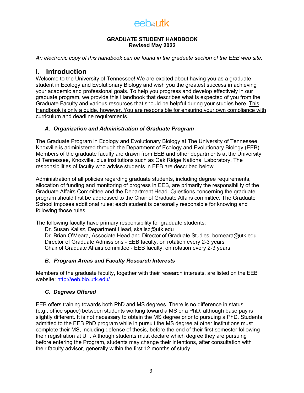#### **GRADUATE STUDENT HANDBOOK Revised May 2022**

*An electronic copy of this handbook can be found in the graduate section of the EEB web site.*

## **I. Introduction**

Welcome to the University of Tennessee! We are excited about having you as a graduate student in Ecology and Evolutionary Biology and wish you the greatest success in achieving your academic and professional goals. To help you progress and develop effectively in our graduate program, we provide this Handbook that describes what is expected of you from the Graduate Faculty and various resources that should be helpful during your studies here. This Handbook is only a guide, however. You are responsible for ensuring your own compliance with curriculum and deadline requirements.

### *A. Organization and Administration of Graduate Program*

The Graduate Program in Ecology and Evolutionary Biology at The University of Tennessee, Knoxville is administered through the Department of Ecology and Evolutionary Biology (EEB). Members of the graduate faculty are drawn from EEB and other departments at the University of Tennessee, Knoxville, plus institutions such as Oak Ridge National Laboratory. The responsibilities of faculty who advise students in EEB are described below.

Administration of all policies regarding graduate students, including degree requirements, allocation of funding and monitoring of progress in EEB, are primarily the responsibility of the Graduate Affairs Committee and the Department Head. Questions concerning the graduate program should first be addressed to the Chair of Graduate Affairs committee. The Graduate School imposes additional rules; each student is personally responsible for knowing and following those rules.

The following faculty have primary responsibility for graduate students:

Dr. Susan Kalisz, Department Head, skalisz@utk.edu

Dr. Brian O'Meara, Associate Head and Director of Graduate Studies, bomeara@utk.edu Director of Graduate Admissions - EEB faculty, on rotation every 2-3 years Chair of Graduate Affairs committee - EEB faculty, on rotation every 2-3 years

## *B. Program Areas and Faculty Research Interests*

Members of the graduate faculty, together with their research interests, are listed on the EEB website: http://eeb.bio.utk.edu/

### *C. Degrees Offered*

EEB offers training towards both PhD and MS degrees. There is no difference in status (e.g., office space) between students working toward a MS or a PhD, although base pay is slightly different. It is not necessary to obtain the MS degree prior to pursuing a PhD. Students admitted to the EEB PhD program while in pursuit the MS degree at other institutions must complete their MS, including defense of thesis, before the end of their first semester following their registration at UT. Although students must declare which degree they are pursuing before entering the Program, students may change their intentions, after consultation with their faculty advisor, generally within the first 12 months of study.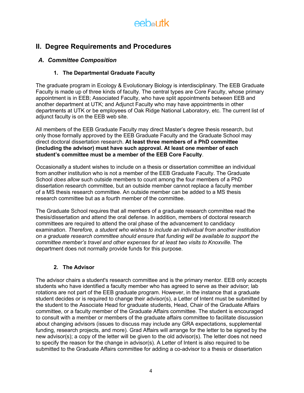

## **II. Degree Requirements and Procedures**

## *A. Committee Composition*

## **1. The Departmental Graduate Faculty**

The graduate program in Ecology & Evolutionary Biology is interdisciplinary. The EEB Graduate Faculty is made up of three kinds of faculty. The central types are Core Faculty, whose primary appointment is in EEB; Associated Faculty, who have split appointments between EEB and another department at UTK; and Adjunct Faculty who may have appointments in other departments at UTK or be employees of Oak Ridge National Laboratory, etc. The current list of adjunct faculty is on the EEB web site.

All members of the EEB Graduate Faculty may direct Master's degree thesis research, but only those formally approved by the EEB Graduate Faculty and the Graduate School may direct doctoral dissertation research. **At least three members of a PhD committee (including the advisor) must have such approval. At least one member of each student's committee must be a member of the EEB Core Faculty**.

Occasionally a student wishes to include on a thesis or dissertation committee an individual from another institution who is not a member of the EEB Graduate Faculty. The Graduate School *does allow* such outside members to count among the four members of a PhD dissertation research committee, but an outside member cannot replace a faculty member of a MS thesis research committee. An outside member can be added to a MS thesis research committee but as a fourth member of the committee.

The Graduate School requires that all members of a graduate research committee read the thesis/dissertation and attend the oral defense. In addition, members of doctoral research committees are required to attend the oral phase of the advancement to candidacy examination. *Therefore, a student who wishes to include an individual from another institution on a graduate research committee should ensure that funding will be available to support the committee member's travel and other expenses for at least two visits to Knoxville.* The department does not normally provide funds for this purpose.

## **2. The Advisor**

The advisor chairs a student's research committee and is the primary mentor. EEB only accepts students who have identified a faculty member who has agreed to serve as their advisor; lab rotations are not part of the EEB graduate program. However, in the instance that a graduate student decides or is required to change their advisor(s), a Letter of Intent must be submitted by the student to the Associate Head for graduate students, Head, Chair of the Graduate Affairs committee, or a faculty member of the Graduate Affairs committee. The student is encouraged to consult with a member or members of the graduate affairs committee to facilitate discussion about changing advisors (issues to discuss may include any GRA expectations, supplemental funding, research projects, and more). Grad Affairs will arrange for the letter to be signed by the new advisor(s); a copy of the letter will be given to the old advisor(s). The letter does not need to specify the reason for the change in advisor(s). A Letter of Intent is also required to be submitted to the Graduate Affairs committee for adding a co-advisor to a thesis or dissertation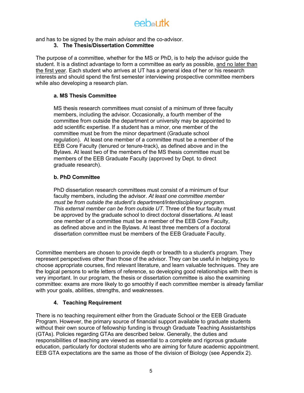eebautk

and has to be signed by the main advisor and the co-advisor.

### **3. The Thesis/Dissertation Committee**

The purpose of a committee, whether for the MS or PhD, is to help the advisor guide the student. It is a distinct advantage to form a committee as early as possible, and no later than the first year. Each student who arrives at UT has a general idea of her or his research interests and should spend the first semester interviewing prospective committee members while also developing a research plan.

### **a. MS Thesis Committee**

MS thesis research committees must consist of a minimum of three faculty members, including the advisor. Occasionally, a fourth member of the committee from outside the department or university may be appointed to add scientific expertise. If a student has a minor, one member of the committee must be from the minor department (Graduate school regulation). At least one member of a committee must be a member of the EEB Core Faculty (tenured or tenure-track), as defined above and in the Bylaws. At least two of the members of the MS thesis committee must be members of the EEB Graduate Faculty (approved by Dept. to direct graduate research).

### **b. PhD Committee**

PhD dissertation research committees must consist of a minimum of four faculty members, including the advisor. *At least one committee member must be from outside the student's department/interdisciplinary program. This external member can be from outside UT*. Three of the four faculty must be approved by the graduate school to direct doctoral dissertations. At least one member of a committee must be a member of the EEB Core Faculty, as defined above and in the Bylaws. At least three members of a doctoral dissertation committee must be members of the EEB Graduate Faculty.

Committee members are chosen to provide depth or breadth to a student's program. They represent perspectives other than those of the advisor. They can be useful in helping you to choose appropriate courses, find relevant literature, and learn valuable techniques. They are the logical persons to write letters of reference, so developing good relationships with them is very important. In our program, the thesis or dissertation committee is also the examining committee: exams are more likely to go smoothly if each committee member is already familiar with your goals, abilities, strengths, and weaknesses.

## **4. Teaching Requirement**

There is no teaching requirement either from the Graduate School or the EEB Graduate Program. However, the primary source of financial support available to graduate students without their own source of fellowship funding is through Graduate Teaching Assistantships (GTAs). Policies regarding GTAs are described below. Generally, the duties and responsibilities of teaching are viewed as essential to a complete and rigorous graduate education, particularly for doctoral students who are aiming for future academic appointment. EEB GTA expectations are the same as those of the division of Biology (see Appendix 2).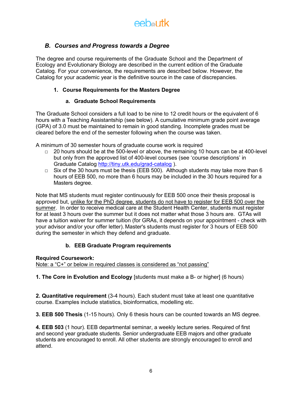

## *B. Courses and Progress towards a Degree*

The degree and course requirements of the Graduate School and the Department of Ecology and Evolutionary Biology are described in the current edition of the Graduate Catalog. For your convenience, the requirements are described below. However, the Catalog for your academic year is the definitive source in the case of discrepancies.

### **1. Course Requirements for the Masters Degree**

### **a. Graduate School Requirements**

The Graduate School considers a full load to be nine to 12 credit hours or the equivalent of 6 hours with a Teaching Assistantship (see below). A cumulative minimum grade point average (GPA) of 3.0 must be maintained to remain in good standing. Incomplete grades must be cleared before the end of the semester following when the course was taken.

A minimum of 30 semester hours of graduate course work is required

- $\Box$  20 hours should be at the 500-level or above, the remaining 10 hours can be at 400-level but only from the approved list of 400-level courses (see 'course descriptions' in Graduate Catalog http://tiny.utk.edu/grad-catalog ).
- $\Box$  Six of the 30 hours must be thesis (EEB 500). Although students may take more than 6 hours of EEB 500, no more than 6 hours may be included in the 30 hours required for a Masters degree.

Note that MS students must register continuously for EEB 500 once their thesis proposal is approved but, unlike for the PhD degree, students do not have to register for EEB 500 over the summer. In order to receive medical care at the Student Health Center, students must register for at least 3 hours over the summer but it does not matter what those 3 hours are. GTAs will have a tuition waiver for summer tuition (for GRAs, it depends on your appointment - check with your advisor and/or your offer letter). Master's students must register for 3 hours of EEB 500 during the semester in which they defend and graduate.

## **b. EEB Graduate Program requirements**

### **Required Coursework:**

Note: a "C+" or below in required classes is considered as "not passing"

**1. The Core in Evolution and Ecology** [students must make a B- or higher] (6 hours)

**2. Quantitative requirement** (3-4 hours). Each student must take at least one quantitative course. Examples include statistics, bioinformatics, modelling etc.

**3. EEB 500 Thesis** (1-15 hours). Only 6 thesis hours can be counted towards an MS degree.

**4. EEB 503** (1 hour). EEB departmental seminar, a weekly lecture series. Required of first and second year graduate students. Senior undergraduate EEB majors and other graduate students are encouraged to enroll. All other students are strongly encouraged to enroll and attend.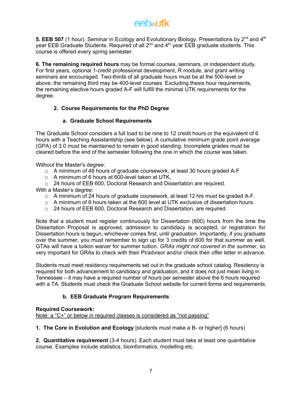# $A$   $A$

5. EEB 507 (1 hour). Seminar in Ecology and Evolutionary Biology. Presentations by 2<sup>nd</sup> and 4<sup>th</sup> year EEB Graduate Students. Required of all 2<sup>nd</sup> and 4<sup>th</sup> year EEB graduate students. This course is offered every spring semester.

**6. The remaining required hours** may be formal courses, seminars, or independent study. For first years, optional 1-credit professional development, R module, and grant writing seminars are encouraged. Two-thirds of all graduate hours must be at the 500-level or above; the remaining third may be 400-level courses. Excluding thesis hour requirements, the remaining elective hours graded A-F will fulfill the minimal UTK requirements for the degree.

## **2. Course Requirements for the PhD Degree**

## **a. Graduate School Requirements**

The Graduate School considers a full load to be nine to 12 credit hours or the equivalent of 6 hours with a Teaching Assistantship (see below). A cumulative minimum grade point average (GPA) of 3.0 must be maintained to remain in good standing. Incomplete grades must be cleared before the end of the semester following the one in which the course was taken.

Without the Master's degree:

- $\Box$  A minimum of 48 hours of graduate coursework, at least 30 hours graded A-F
- □ A minimum of 6 hours at 600-level taken at UTK,
- $\Box$  24 hours of EEB 600. Doctoral Research and Dissertation are required.

With a Master's degree:

- $\Box$  A minimum of 24 hours of graduate coursework, at least 12 hrs must be graded A-F.
- $\Box$  A minimum of 6 hours taken at the 600 level at UTK exclusive of dissertation hours.
- □ 24 hours of EEB 600, Doctoral Research and Dissertation, are required.

Note that a student must register continuously for Dissertation (600) hours from the time the Dissertation Proposal is approved, admission to candidacy is accepted, or registration for Dissertation hours is begun, whichever comes first, until graduation. Importantly, if you graduate over the summer, you must remember to sign up for 3 credits of 600 for that summer as well. GTAs will have a tuition waiver for summer tuition. *GRAs might not covered in the summer*, so very important for GRAs to check with their PI/advisor and/or check their offer letter in advance.

Students must meet residency requirements set out in the graduate school catalog. Residency is required for both advancement to candidacy and graduation, and it does not just mean living in Tennessee – it may have a required number of hours per semester above the 6 hours required with a TA. Students must check the Graduate School website for current forms and requirements.

## **b. EEB Graduate Program Requirements**

## **Required Coursework:**

Note: a "C+" or below in required classes is considered as "not passing"

**1. The Core in Evolution and Ecology** [students must make a B- or higher] (6 hours)

**2. Quantitative requirement** (3-4 hours). Each student must take at least one quantitative course. Examples include statistics, bioinformatics, modelling etc.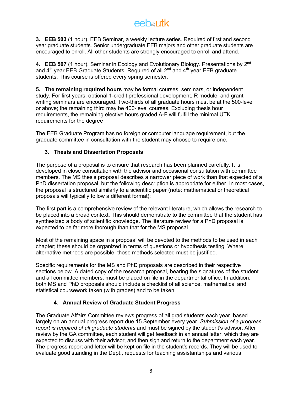# eebautk

**3. EEB 503** (1 hour). EEB Seminar, a weekly lecture series. Required of first and second year graduate students. Senior undergraduate EEB majors and other graduate students are encouraged to enroll. All other students are strongly encouraged to enroll and attend.

**4. EEB 507** (1 hour). Seminar in Ecology and Evolutionary Biology. Presentations by 2nd and  $4<sup>th</sup>$  year EEB Graduate Students. Required of all  $2<sup>nd</sup>$  and  $4<sup>th</sup>$  year EEB graduate students. This course is offered every spring semester.

**5. The remaining required hours** may be formal courses, seminars, or independent study. For first years, optional 1-credit professional development, R module, and grant writing seminars are encouraged. Two-thirds of all graduate hours must be at the 500-level or above; the remaining third may be 400-level courses. Excluding thesis hour requirements, the remaining elective hours graded A-F will fulfill the minimal UTK requirements for the degree

The EEB Graduate Program has no foreign or computer language requirement, but the graduate committee in consultation with the student may choose to require one.

## **3. Thesis and Dissertation Proposals**

The purpose of a proposal is to ensure that research has been planned carefully. It is developed in close consultation with the advisor and occasional consultation with committee members. The MS thesis proposal describes a narrower piece of work than that expected of a PhD dissertation proposal, but the following description is appropriate for either. In most cases, the proposal is structured similarly to a scientific paper (note: mathematical or theoretical proposals will typically follow a different format):

The first part is a comprehensive review of the relevant literature, which allows the research to be placed into a broad context. This should demonstrate to the committee that the student has synthesized a body of scientific knowledge. The literature review for a PhD proposal is expected to be far more thorough than that for the MS proposal.

Most of the remaining space in a proposal will be devoted to the methods to be used in each chapter; these should be organized in terms of questions or hypothesis testing. Where alternative methods are possible, those methods selected must be justified.

Specific requirements for the MS and PhD proposals are described in their respective sections below. A dated copy of the research proposal, bearing the signatures of the student and all committee members, must be placed on file in the departmental office. In addition, both MS and PhD proposals should include a checklist of all science, mathematical and statistical coursework taken (with grades) and to be taken.

## **4. Annual Review of Graduate Student Progress**

The Graduate Affairs Committee reviews progress of all grad students each year, based largely on an annual progress report due 15 September every year. *Submission of a progress report is required of all graduate students* and must be signed by the student's advisor. After review by the GA committee, each student will get feedback in an annual letter, which they are expected to discuss with their advisor, and then sign and return to the department each year. The progress report and letter will be kept on file in the student's records. They will be used to evaluate good standing in the Dept., requests for teaching assistantships and various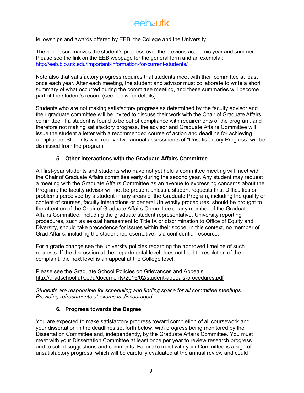fellowships and awards offered by EEB, the College and the University.

The report summarizes the student's progress over the previous academic year and summer. Please see the link on the EEB webpage for the general form and an exemplar: http://eeb.bio.utk.edu/important-information-for-current-students/

Note also that satisfactory progress requires that students meet with their committee at least once each year. After each meeting, the student and advisor must collaborate to write a short summary of what occurred during the committee meeting, and these summaries will become part of the student's record (see below for details).

Students who are not making satisfactory progress as determined by the faculty advisor and their graduate committee will be invited to discuss their work with the Chair of Graduate Affairs committee. If a student is found to be out of compliance with requirements of the program, and therefore not making satisfactory progress, the advisor and Graduate Affairs Committee will issue the student a letter with a recommended course of action and deadline for achieving compliance. Students who receive two annual assessments of "Unsatisfactory Progress" will be dismissed from the program.

## **5. Other Interactions with the Graduate Affairs Committee**

All first-year students and students who have not yet held a committee meeting will meet with the Chair of Graduate Affairs committee early during the second year. Any student may request a meeting with the Graduate Affairs Committee as an avenue to expressing concerns about the Program; the faculty advisor will not be present unless a student requests this. Difficulties or problems perceived by a student in any areas of the Graduate Program, including the quality or content of courses, faculty interactions or general University procedures, should be brought to the attention of the Chair of Graduate Affairs Committee or any member of the Graduate Affairs Committee, including the graduate student representative. University reporting procedures, such as sexual harassment to Title IX or discrimination to Office of Equity and Diversity, should take precedence for issues within their scope; in this context, no member of Grad Affairs, including the student representative, is a confidential resource.

For a grade change see the university policies regarding the approved timeline of such requests. If the discussion at the departmental level does not lead to resolution of the complaint, the next level is an appeal at the College level.

Please see the Graduate School Policies on Grievances and Appeals: http://gradschool.utk.edu/documents/2016/02/student-appeals-procedures.pdf

*Students are responsible for scheduling and finding space for all committee meetings. Providing refreshments at exams is discouraged.*

## **6. Progress towards the Degree**

You are expected to make satisfactory progress toward completion of all coursework and your dissertation in the deadlines set forth below, with progress being monitored by the Dissertation Committee and, independently, by the Graduate Affairs Committee. You must meet with your Dissertation Committee at least once per year to review research progress and to solicit suggestions and comments. Failure to meet with your Committee is a sign of unsatisfactory progress, which will be carefully evaluated at the annual review and could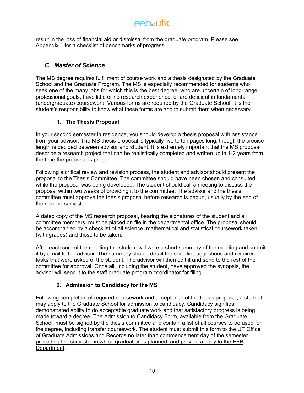## eebautk

result in the loss of financial aid or dismissal from the graduate program. Please see Appendix 1 for a checklist of benchmarks of progress.

## *C. Master of Science*

The MS degree requires fulfillment of course work and a thesis designated by the Graduate School and the Graduate Program. The MS is especially recommended for students who seek one of the many jobs for which this is the best degree, who are uncertain of long-range professional goals, have little or no research experience, or are deficient in fundamental (undergraduate) coursework. Various forms are required by the Graduate School; it is the student's responsibility to know what these forms are and to submit them when necessary.

## **1. The Thesis Proposal**

In your second semester in residence, you should develop a thesis proposal with assistance from your advisor. The MS thesis proposal is typically five to ten pages long, though the precise length is decided between advisor and student. It is extremely important that the MS proposal describe a research project that can be realistically completed and written up in 1-2 years from the time the proposal is prepared.

Following a critical review and revision process, the student and advisor should present the proposal to the Thesis Committee. The committee should have been chosen and consulted while the proposal was being developed. The student should call a meeting to discuss the proposal within two weeks of providing it to the committee. The advisor and the thesis committee must approve the thesis proposal before research is begun, usually by the end of the second semester.

A dated copy of the MS research proposal, bearing the signatures of the student and all committee members, must be placed on file in the departmental office. The proposal should be accompanied by a checklist of all science, mathematical and statistical coursework taken (with grades) and those to be taken.

After each committee meeting the student will write a short summary of the meeting and submit it by email to the advisor. The summary should detail the specific suggestions and required tasks that were asked of the student. The advisor will then edit it and send to the rest of the committee for approval. Once all, including the student, have approved the synopsis, the advisor will send it to the staff graduate program coordinator for filing.

## **2. Admission to Candidacy for the MS**

Following completion of required coursework and acceptance of the thesis proposal, a student may apply to the Graduate School for admission to candidacy. Candidacy signifies demonstrated ability to do acceptable graduate work and that satisfactory progress is being made toward a degree. The Admission to Candidacy Form, available from the Graduate School, must be signed by the thesis committee and contain a list of all courses to be used for the degree, including transfer coursework. The student must submit this form to the UT Office of Graduate Admissions and Records no later than commencement day of the semester preceding the semester in which graduation is planned, and provide a copy to the EEB Department.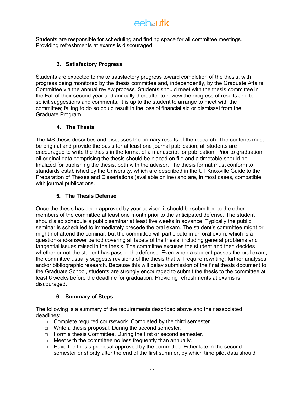## eebautk

Students are responsible for scheduling and finding space for all committee meetings. Providing refreshments at exams is discouraged.

## **3. Satisfactory Progress**

Students are expected to make satisfactory progress toward completion of the thesis, with progress being monitored by the thesis committee and, independently, by the Graduate Affairs Committee via the annual review process. Students should meet with the thesis committee in the Fall of their second year and annually thereafter to review the progress of results and to solicit suggestions and comments. It is up to the student to arrange to meet with the committee; failing to do so could result in the loss of financial aid or dismissal from the Graduate Program.

## **4. The Thesis**

The MS thesis describes and discusses the primary results of the research. The contents must be original and provide the basis for at least one journal publication; all students are encouraged to write the thesis in the format of a manuscript for publication. Prior to graduation, all original data comprising the thesis should be placed on file and a timetable should be finalized for publishing the thesis, both with the advisor. The thesis format must conform to standards established by the University, which are described in the UT Knoxville Guide to the Preparation of Theses and Dissertations (available online) and are, in most cases, compatible with journal publications.

## **5. The Thesis Defense**

Once the thesis has been approved by your advisor, it should be submitted to the other members of the committee at least one month prior to the anticipated defense. The student should also schedule a public seminar at least five weeks in advance. Typically the public seminar is scheduled to immediately precede the oral exam. The student's committee might or might not attend the seminar, but the committee will participate in an oral exam, which is a question-and-answer period covering all facets of the thesis, including general problems and tangential issues raised in the thesis. The committee excuses the student and then decides whether or not the student has passed the defense. Even when a student passes the oral exam, the committee usually suggests revisions of the thesis that will require rewriting, further analyses and/or bibliographic research. Because this will delay submission of the final thesis document to the Graduate School, students are strongly encouraged to submit the thesis to the committee at least 6 weeks before the deadline for graduation. Providing refreshments at exams is discouraged.

## **6. Summary of Steps**

The following is a summary of the requirements described above and their associated deadlines:

- □ Complete required coursework. Completed by the third semester.
- □ Write a thesis proposal. During the second semester.
- □ Form a thesis Committee. During the first or second semester.
- □ Meet with the committee no less frequently than annually.
- $\Box$  Have the thesis proposal approved by the committee. Either late in the second semester or shortly after the end of the first summer, by which time pilot data should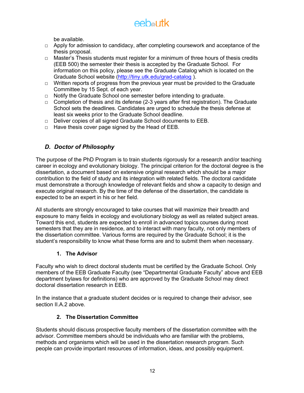

be available.

- $\Box$  Apply for admission to candidacy, after completing coursework and acceptance of the thesis proposal.
- $\Box$  Master's Thesis students must register for a minimum of three hours of thesis credits (EEB 500) the semester their thesis is accepted by the Graduate School. For information on this policy, please see the Graduate Catalog which is located on the Graduate School website (http://tiny.utk.edu/grad-catalog ).
- $\Box$  Written reports of progress from the previous year must be provided to the Graduate Committee by 15 Sept. of each year.
- □ Notify the Graduate School one semester before intending to graduate.
- $\Box$  Completion of thesis and its defense (2-3 years after first registration). The Graduate School sets the deadlines. Candidates are urged to schedule the thesis defense at least six weeks prior to the Graduate School deadline.
- □ Deliver copies of all signed Graduate School documents to EEB.
- $\Box$  Have thesis cover page signed by the Head of EEB.

## *D. Doctor of Philosophy*

The purpose of the PhD Program is to train students rigorously for a research and/or teaching career in ecology and evolutionary biology. The principal criterion for the doctoral degree is the dissertation, a document based on extensive original research which should be a major contribution to the field of study and its integration with related fields. The doctoral candidate must demonstrate a thorough knowledge of relevant fields and show a capacity to design and execute original research. By the time of the defense of the dissertation, the candidate is expected to be an expert in his or her field.

All students are strongly encouraged to take courses that will maximize their breadth and exposure to many fields in ecology and evolutionary biology as well as related subject areas. Toward this end, students are expected to enroll in advanced topics courses during most semesters that they are in residence, and to interact with many faculty, not only members of the dissertation committee. Various forms are required by the Graduate School; it is the student's responsibility to know what these forms are and to submit them when necessary.

### **1. The Advisor**

Faculty who wish to direct doctoral students must be certified by the Graduate School. Only members of the EEB Graduate Faculty (see "Departmental Graduate Faculty" above and EEB department bylaws for definitions) who are approved by the Graduate School may direct doctoral dissertation research in EEB.

In the instance that a graduate student decides or is required to change their advisor, see section II.A.2 above

## **2. The Dissertation Committee**

Students should discuss prospective faculty members of the dissertation committee with the advisor. Committee members should be individuals who are familiar with the problems, methods and organisms which will be used in the dissertation research program. Such people can provide important resources of information, ideas, and possibly equipment.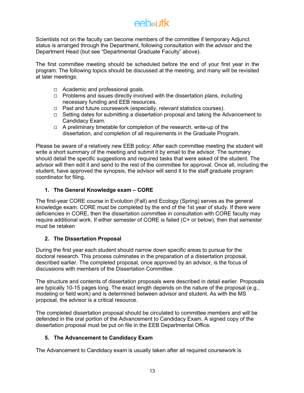Scientists not on the faculty can become members of the committee if temporary Adjunct status is arranged through the Department, following consultation with the advisor and the Department Head (but see "Departmental Graduate Faculty" above).

The first committee meeting should be scheduled before the end of your first year in the program. The following topics should be discussed at the meeting, and many will be revisited at later meetings:

- $\Box$  Academic and professional goals.
- $\Box$  Problems and issues directly involved with the dissertation plans, including necessary funding and EEB resources.
- $\Box$  Past and future coursework (especially, relevant statistics courses).
- $\Box$  Setting dates for submitting a dissertation proposal and taking the Advancement to Candidacy Exam.
- $\Box$  A preliminary timetable for completion of the research, write-up of the dissertation, and completion of all requirements in the Graduate Program.

Please be aware of a relatively new EEB policy: After each committee meeting the student will write a short summary of the meeting and submit it by email to the advisor. The summary should detail the specific suggestions and required tasks that were asked of the student. The advisor will then edit it and send to the rest of the committee for approval. Once all, including the student, have approved the synopsis, the advisor will send it to the staff graduate program coordinator for filing.

## **1. The General Knowledge exam – CORE**

The first-year CORE course in Evolution (Fall) and Ecology (Spring) serves as the general knowledge exam. CORE must be completed by the end of the 1st year of study. If there were deficiencies in CORE, then the dissertation committee in consultation with CORE faculty may require additional work. If either semester of CORE is failed (C+ or below), then that semester must be retaken

## **2. The Dissertation Proposal**

During the first year each student should narrow down specific areas to pursue for the doctoral research. This process culminates in the preparation of a dissertation proposal, described earlier. The completed proposal, once approved by an advisor, is the focus of discussions with members of the Dissertation Committee.

The structure and contents of dissertation proposals were described in detail earlier. Proposals are typically 10-15 pages long. The exact length depends on the nature of the proposal (e.g., modeling or field work) and is determined between advisor and student. As with the MS proposal, the advisor is a critical resource.

The completed dissertation proposal should be circulated to committee members and will be defended in the oral portion of the Advancement to Candidacy Exam. A signed copy of the dissertation proposal must be put on file in the EEB Departmental Office.

## **5. The Advancement to Candidacy Exam**

The Advancement to Candidacy exam is usually taken after all required coursework is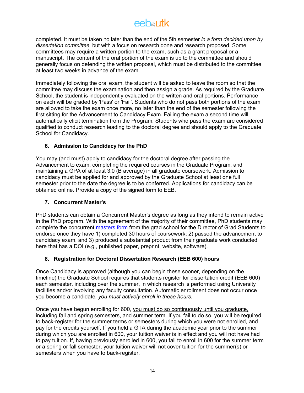completed. It must be taken no later than the end of the 5th semester *in a form decided upon by dissertation committee,* but with a focus on research done and research proposed. Some committees may require a written portion to the exam, such as a grant proposal or a manuscript. The content of the oral portion of the exam is up to the committee and should generally focus on defending the written proposal, which must be distributed to the committee at least two weeks in advance of the exam.

Immediately following the oral exam, the student will be asked to leave the room so that the committee may discuss the examination and then assign a grade. As required by the Graduate School, the student is independently evaluated on the written and oral portions. Performance on each will be graded by 'Pass' or 'Fail'. Students who do not pass both portions of the exam are allowed to take the exam once more, no later than the end of the semester following the first sitting for the Advancement to Candidacy Exam. Failing the exam a second time will automatically elicit termination from the Program. Students who pass the exam are considered qualified to conduct research leading to the doctoral degree and should apply to the Graduate School for Candidacy.

## **6. Admission to Candidacy for the PhD**

You may (and must) apply to candidacy for the doctoral degree after passing the Advancement to exam, completing the required courses in the Graduate Program, and maintaining a GPA of at least 3.0 (B average) in all graduate coursework. Admission to candidacy must be applied for and approved by the Graduate School at least one full semester prior to the date the degree is to be conferred. Applications for candidacy can be obtained online. Provide a copy of the signed form to EEB.

## **7. Concurrent Master's**

PhD students can obtain a Concurrent Master's degree as long as they intend to remain active in the PhD program. With the agreement of the majority of their committee, PhD students may complete the concurrent masters form from the grad school for the Director of Grad Students to endorse once they have 1) completed 30 hours of coursework; 2) passed the advancement to candidacy exam, and 3) produced a substantial product from their graduate work conducted here that has a DOI (e.g., published paper, preprint, website, software).

## **8. Registration for Doctoral Dissertation Research (EEB 600) hours**

Once Candidacy is approved (although you can begin these sooner, depending on the timeline) the Graduate School requires that students register for dissertation credit (EEB 600) each semester, including over the summer, in which research is performed using University facilities and/or involving any faculty consultation. Automatic enrollment does not occur once you become a candidate*, you must actively enroll in these hours*.

Once you have begun enrolling for 600, you must do so continuously until you graduate, including fall and spring semesters, and summer term. If you fail to do so, you will be required to back-register for the summer terms or semesters during which you were not enrolled, and pay for the credits yourself. If you held a GTA during the academic year prior to the summer during which you are enrolled in 600, your tuition waiver is in effect and you will not have had to pay tuition. If, having previously enrolled in 600, you fail to enroll in 600 for the summer term or a spring or fall semester, your tuition waiver will not cover tuition for the summer(s) or semesters when you have to back-register.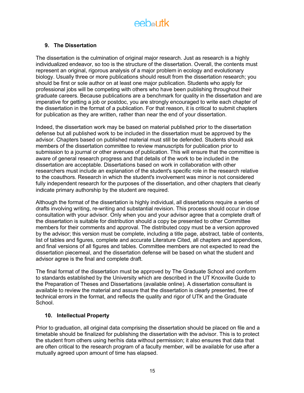## **9. The Dissertation**

The dissertation is the culmination of original major research. Just as research is a highly individualized endeavor, so too is the structure of the dissertation. Overall, the contents must represent an original, rigorous analysis of a major problem in ecology and evolutionary biology. Usually three or more publications should result from the dissertation research; you should be first or sole author on at least one major publication. Students who apply for professional jobs will be competing with others who have been publishing throughout their graduate careers. Because publications are a benchmark for quality in the dissertation and are imperative for getting a job or postdoc, you are strongly encouraged to write each chapter of the dissertation in the format of a publication. For that reason, it is critical to submit chapters for publication as they are written, rather than near the end of your dissertation.

Indeed, the dissertation work may be based on material published prior to the dissertation defense but all published work to be included in the dissertation must be approved by the advisor. Chapters based on published material must still be defended. Students should ask members of the dissertation committee to review manuscripts for publication prior to submission to a journal or other avenues of publication. This will ensure that the committee is aware of general research progress and that details of the work to be included in the dissertation are acceptable. Dissertations based on work in collaboration with other researchers must include an explanation of the student's specific role in the research relative to the coauthors. Research in which the student's involvement was minor is not considered fully independent research for the purposes of the dissertation, and other chapters that clearly indicate primary authorship by the student are required.

Although the format of the dissertation is highly individual, all dissertations require a series of drafts involving writing, re-writing and substantial revision. This process should occur in close consultation with your advisor. Only when you and your advisor agree that a complete draft of the dissertation is suitable for distribution should a copy be presented to other Committee members for their comments and approval. The distributed copy must be a version approved by the advisor; this version must be complete, including a title page, abstract, table of contents, list of tables and figures, complete and accurate Literature Cited, all chapters and appendices, and final versions of all figures and tables. Committee members are not expected to read the dissertation piecemeal, and the dissertation defense will be based on what the student and advisor agree is the final and complete draft.

The final format of the dissertation must be approved by The Graduate School and conform to standards established by the University which are described in the UT Knoxville Guide to the Preparation of Theses and Dissertations (available online). A dissertation consultant is available to review the material and assure that the dissertation is clearly presented, free of technical errors in the format, and reflects the quality and rigor of UTK and the Graduate School.

## **10. Intellectual Property**

Prior to graduation, all original data comprising the dissertation should be placed on file and a timetable should be finalized for publishing the dissertation with the advisor. This is to protect the student from others using her/his data without permission; it also ensures that data that are often critical to the research program of a faculty member, will be available for use after a mutually agreed upon amount of time has elapsed.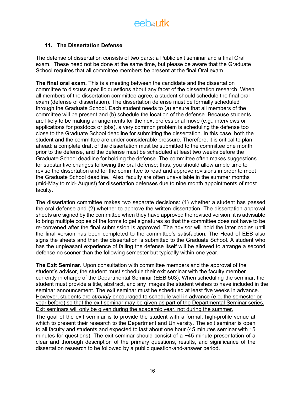# eebautk

## **11. The Dissertation Defense**

The defense of dissertation consists of two parts: a Public exit seminar and a final Oral exam. These need not be done at the same time, but please be aware that the Graduate School requires that all committee members be present at the final Oral exam.

**The final oral exam.** This is a meeting between the candidate and the dissertation committee to discuss specific questions about any facet of the dissertation research. When all members of the dissertation committee agree, a student should schedule the final oral exam (defense of dissertation). The dissertation defense must be formally scheduled through the Graduate School. Each student needs to (a) ensure that all members of the committee will be present and (b) schedule the location of the defense. Because students are likely to be making arrangements for the next professional move (e.g., interviews or applications for postdocs or jobs), a very common problem is scheduling the defense too close to the Graduate School deadline for submitting the dissertation. In this case, both the student and the committee are under considerable pressure. Therefore, it is critical to plan ahead: a complete draft of the dissertation must be submitted to the committee one month prior to the defense, and the defense must be scheduled at least two weeks before the Graduate School deadline for holding the defense. The committee often makes suggestions for substantive changes following the oral defense; thus, you should allow ample time to revise the dissertation and for the committee to read and approve revisions in order to meet the Graduate School deadline. Also, faculty are often unavailable in the summer months (mid-May to mid- August) for dissertation defenses due to nine month appointments of most faculty.

The dissertation committee makes two separate decisions: (1) whether a student has passed the oral defense and (2) whether to approve the written dissertation. The dissertation approval sheets are signed by the committee when they have approved the revised version; it is advisable to bring multiple copies of the forms to get signatures so that the committee does not have to be re-convened after the final submission is approved. The advisor will hold the later copies until the final version has been completed to the committee's satisfaction. The Head of EEB also signs the sheets and then the dissertation is submitted to the Graduate School. A student who has the unpleasant experience of failing the defense itself will be allowed to arrange a second defense no sooner than the following semester but typically within one year.

**The Exit Seminar.** Upon consultation with committee members and the approval of the student's advisor, the student must schedule their exit seminar with the faculty member currently in charge of the Departmental Seminar (EEB 503). When scheduling the seminar, the student must provide a title, abstract, and any images the student wishes to have included in the seminar announcement. The exit seminar must be scheduled at least five weeks in advance. However, students are *strongly* encouraged to schedule well in advance (e.g. the semester or year before) so that the exit seminar may be given as part of the Departmental Seminar series. Exit seminars will only be given during the academic year, not during the summer.

The goal of the exit seminar is to provide the student with a formal, high-profile venue at which to present their research to the Department and University. The exit seminar is open to all faculty and students and expected to last about one hour (45 minutes seminar with 15 minutes for questions). The exit seminar should consist of a ~45 minute presentation of a clear and thorough description of the primary questions, results, and significance of the dissertation research to be followed by a public question-and-answer period.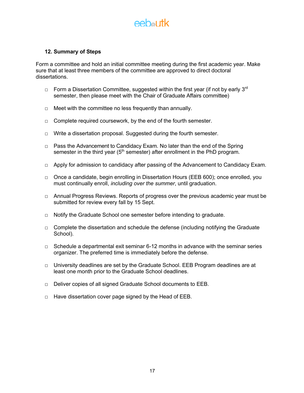## $A \in \mathbb{R}$  and  $A \in \mathbb{R}$

### **12. Summary of Steps**

Form a committee and hold an initial committee meeting during the first academic year. Make sure that at least three members of the committee are approved to direct doctoral dissertations.

- $\Box$  Form a Dissertation Committee, suggested within the first year (if not by early 3<sup>rd</sup> semester, then please meet with the Chair of Graduate Affairs committee)
- □ Meet with the committee no less frequently than annually.
- $\Box$  Complete required coursework, by the end of the fourth semester.
- $\Box$  Write a dissertation proposal. Suggested during the fourth semester.
- $\Box$  Pass the Advancement to Candidacy Exam. No later than the end of the Spring semester in the third year ( $5<sup>th</sup>$  semester) after enrollment in the PhD program.
- $\Box$  Apply for admission to candidacy after passing of the Advancement to Candidacy Exam.
- □ Once a candidate, begin enrolling in Dissertation Hours (EEB 600); once enrolled, you must continually enroll, *including over the summer*, until graduation.
- $\Box$  Annual Progress Reviews. Reports of progress over the previous academic year must be submitted for review every fall by 15 Sept.
- □ Notify the Graduate School one semester before intending to graduate.
- $\Box$  Complete the dissertation and schedule the defense (including notifying the Graduate School).
- $\Box$  Schedule a departmental exit seminar 6-12 months in advance with the seminar series organizer. The preferred time is immediately before the defense.
- $\Box$  University deadlines are set by the Graduate School. EEB Program deadlines are at least one month prior to the Graduate School deadlines.
- □ Deliver copies of all signed Graduate School documents to EEB.
- □ Have dissertation cover page signed by the Head of EEB.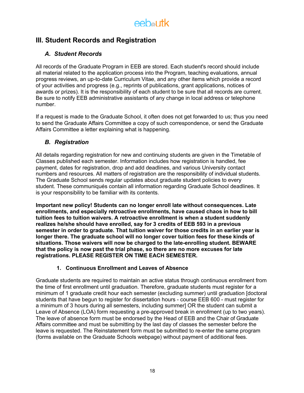

## **III. Student Records and Registration**

## *A. Student Records*

All records of the Graduate Program in EEB are stored. Each student's record should include all material related to the application process into the Program, teaching evaluations, annual progress reviews, an up-to-date Curriculum Vitae, and any other items which provide a record of your activities and progress (e.g., reprints of publications, grant applications, notices of awards or prizes). It is the responsibility of each student to be sure that all records are current. Be sure to notify EEB administrative assistants of any change in local address or telephone number.

If a request is made to the Graduate School, it often does not get forwarded to us; thus you need to send the Graduate Affairs Committee a copy of such correspondence, or send the Graduate Affairs Committee a letter explaining what is happening.

## *B. Registration*

All details regarding registration for new and continuing students are given in the Timetable of Classes published each semester. Information includes how registration is handled, fee payment, dates for registration, drop and add deadlines, and various University contact numbers and resources. All matters of registration are the responsibility of individual students. The Graduate School sends regular updates about graduate student policies to every student. These communiqués contain all information regarding Graduate School deadlines. It is your responsibility to be familiar with its contents.

**Important new policy! Students can no longer enroll late without consequences. Late enrollments, and especially retroactive enrollments, have caused chaos in how to bill tuition fees to tuition waivers. A retroactive enrollment is when a student suddenly realizes he/she should have enrolled, say for 3 credits of EEB 593 in a previous semester in order to graduate. That tuition waiver for those credits in an earlier year is longer there. The graduate school will no longer cover tuition fees for these kinds of situations. Those waivers will now be charged to the late-enrolling student. BEWARE that the policy is now past the trial phase, so there are no more excuses for late registrations. PLEASE REGISTER ON TIME EACH SEMESTER.**

## **1. Continuous Enrollment and Leaves of Absence**

Graduate students are required to maintain an active status through continuous enrollment from the time of first enrollment until graduation. Therefore, graduate students must register for a minimum of 1 graduate credit hour each semester (excluding summer) until graduation [doctoral students that have begun to register for dissertation hours - course EEB 600 - must register for a minimum of 3 hours during all semesters, including summer] OR the student can submit a Leave of Absence (LOA) form requesting a pre-approved break in enrollment (up to two years). The leave of absence form must be endorsed by the Head of EEB and the Chair of Graduate Affairs committee and must be submitting by the last day of classes the semester before the leave is requested. The Reinstatement form must be submitted to re-enter the same program (forms available on the Graduate Schools webpage) without payment of additional fees.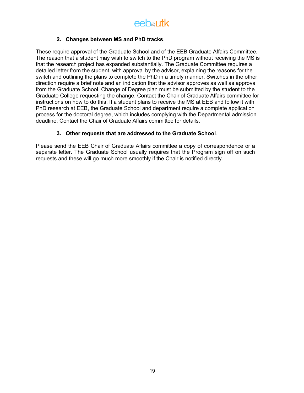### **2. Changes between MS and PhD tracks**.

These require approval of the Graduate School and of the EEB Graduate Affairs Committee. The reason that a student may wish to switch to the PhD program without receiving the MS is that the research project has expanded substantially. The Graduate Committee requires a detailed letter from the student, with approval by the advisor, explaining the reasons for the switch and outlining the plans to complete the PhD in a timely manner. Switches in the other direction require a brief note and an indication that the advisor approves as well as approval from the Graduate School. Change of Degree plan must be submitted by the student to the Graduate College requesting the change. Contact the Chair of Graduate Affairs committee for instructions on how to do this. If a student plans to receive the MS at EEB and follow it with PhD research at EEB, the Graduate School and department require a complete application process for the doctoral degree, which includes complying with the Departmental admission deadline. Contact the Chair of Graduate Affairs committee for details.

### **3. Other requests that are addressed to the Graduate School**.

Please send the EEB Chair of Graduate Affairs committee a copy of correspondence or a separate letter. The Graduate School usually requires that the Program sign off on such requests and these will go much more smoothly if the Chair is notified directly.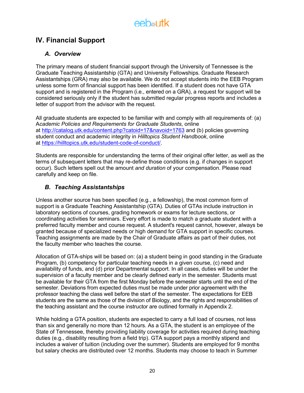## **IV. Financial Support**

## *A. Overview*

The primary means of student financial support through the University of Tennessee is the Graduate Teaching Assistantship (GTA) and University Fellowships. Graduate Research Assistantships (GRA) may also be available. We do not accept students into the EEB Program unless some form of financial support has been identified. If a student does not have GTA support and is registered in the Program (i.e., entered on a GRA), a request for support will be considered seriously only if the student has submitted regular progress reports and includes a letter of support from the advisor with the request.

All graduate students are expected to be familiar with and comply with all requirements of: (a) A*cademic Policies and Requirements for Graduate Students*, online at http://catalog.utk.edu/content.php?catoid=17&navoid=1763 and (b) policies governing student conduct and academic integrity in *Hilltopics Student Handbook*, online at https://hilltopics.utk.edu/student-code-of-conduct/.

Students are responsible for understanding the terms of their original offer letter, as well as the terms of subsequent letters that may re-define those conditions (e.g. if changes in support occur). Such letters spell out the amount *and duration* of your compensation. Please read carefully and keep on file.

## *B. Teaching Assistantships*

Unless another source has been specified (e.g., a fellowship), the most common form of support is a Graduate Teaching Assistantship (GTA). Duties of GTAs include instruction in laboratory sections of courses, grading homework or exams for lecture sections, or coordinating activities for seminars. Every effort is made to match a graduate student with a preferred faculty member and course request. A student's request cannot, however, always be granted because of specialized needs or high demand for GTA support in specific courses. Teaching assignments are made by the Chair of Graduate affairs as part of their duties, not the faculty member who teaches the course.

Allocation of GTA-ships will be based on: (a) a student being in good standing in the Graduate Program, (b) competency for particular teaching needs in a given course, (c) need and availability of funds, and (d) prior Departmental support. In all cases, duties will be under the supervision of a faculty member and be clearly defined early in the semester. Students must be available for their GTA from the first Monday before the semester starts until the end of the semester. Deviations from expected duties must be made under prior agreement with the professor teaching the class well before the start of the semester. The expectations for EEB students are the same as those of the division of Biology, and the rights and responsibilities of the teaching assistant and the course instructor are outlined formally in Appendix 2.

While holding a GTA position, students are expected to carry a full load of courses, not less than six and generally no more than 12 hours. As a GTA, the student is an employee of the State of Tennessee, thereby providing liability coverage for activities required during teaching duties (e.g., disability resulting from a field trip). GTA support pays a monthly stipend and includes a waiver of tuition (including over the summer). Students are employed for 9 months but salary checks are distributed over 12 months. Students may choose to teach in Summer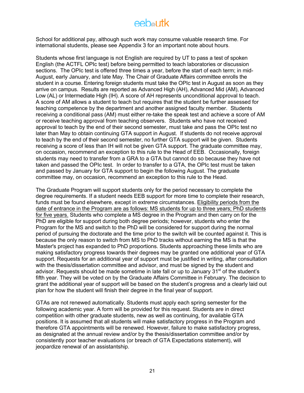## $A$   $A$   $B$   $B$   $B$   $B$   $B$

School for additional pay, although such work may consume valuable research time. For international students, please see Appendix 3 for an important note about hours.

Students whose first language is not English are required by UT to pass a test of spoken English (the ACTFL OPIc test) before being permitted to teach laboratories or discussion sections. The OPIc test is offered three times a year, before the start of each term; in mid-August, early January, and late May. The Chair of Graduate Affairs committee enrolls the student in a course. Entering foreign students must take the OPIc test in August as soon as they arrive on campus. Results are reported as Advanced High (AH), Advanced Mid (AM), Advanced Low (AL) or Intermediate High (IH). A score of AH represents unconditional approval to teach. A score of AM allows a student to teach but requires that the student be further assessed for teaching competence by the department and another assigned faculty member. Students receiving a conditional pass (AM) must either re-take the speak test and achieve a score of AM or receive teaching approval from teaching observers. Students who have not received approval to teach by the end of their second semester, must take and pass the OPIc test no later than May to obtain continuing GTA support in August. If students do not receive approval to teach by the end of their second semester, no further GTA support will be given. Students receiving a score of less than IH will not be given GTA support. The graduate committee may, on occasion, recommend an exception to this rule to the Head of EEB. Occasionally, foreign students may need to transfer from a GRA to a GTA but cannot do so because they have not taken and passed the OPIc test. In order to transfer to a GTA, the OPIc test must be taken and passed by January for GTA support to begin the following August. The graduate committee may, on occasion, recommend an exception to this rule to the Head.

The Graduate Program will support students only for the period necessary to complete the degree requirements. If a student needs EEB support for more time to complete their research, funds must be found elsewhere, except in extreme circumstances. Eligibility periods from the date of entrance in the Program are as follows: MS students for up to three years; PhD students for five years. Students who complete a MS degree in the Program and then carry on for the PhD are eligible for support during both degree periods; however, students who enter the Program for the MS and switch to the PhD will be considered for support during the normal period of pursuing the doctorate and the time prior to the switch will be counted against it. This is because the only reason to switch from MS to PhD tracks without earning the MS is that the Master's project has expanded to PhD proportions. Students approaching these limits who are making satisfactory progress towards their degrees may be granted one additional year of GTA support. Requests for an additional year of support must be justified in writing, after consultation with the thesis/dissertation committee and advisor, and must be signed by the student and advisor. Requests should be made sometime in late fall or up to January  $31<sup>st</sup>$  of the student's fifth year. They will be voted on by the Graduate Affairs Committee in February. The decision to grant the additional year of support will be based on the student's progress and a clearly laid out plan for how the student will finish their degree in the final year of support.

GTAs are not renewed automatically. Students must apply each spring semester for the following academic year. A form will be provided for this request. Students are in direct competition with other graduate students, new as well as continuing, for available GTA positions. It is assumed that all students will make satisfactory progress in the Program and therefore GTA appointments will be renewed. However, failure to make satisfactory progress, as designated at the annual review and/or by the thesis/dissertation committee and/or by consistently poor teacher evaluations (or breach of GTA Expectations statement), will jeopardize renewal of an assistantship.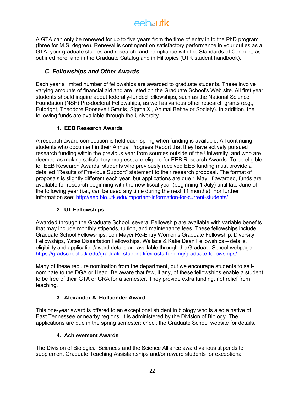A GTA can only be renewed for up to five years from the time of entry in to the PhD program (three for M.S. degree). Renewal is contingent on satisfactory performance in your duties as a GTA, your graduate studies and research, and compliance with the Standards of Conduct, as outlined here, and in the Graduate Catalog and in Hilltopics (UTK student handbook).

## *C. Fellowships and Other Awards*

Each year a limited number of fellowships are awarded to graduate students. These involve varying amounts of financial aid and are listed on the Graduate School's Web site. All first year students should inquire about federally-funded fellowships, such as the National Science Foundation (NSF) Pre-doctoral Fellowships, as well as various other research grants (e.g., Fulbright, Theodore Roosevelt Grants, Sigma Xi, Animal Behavior Society). In addition, the following funds are available through the University.

## **1. EEB Research Awards**

A research award competition is held each spring when funding is available. All continuing students who document in their Annual Progress Report that they have actively pursued research funding within the previous year from sources outside of the University, and who are deemed as making satisfactory progress, are eligible for EEB Research Awards. To be eligible for EEB Research Awards, students who previously received EEB funding must provide a detailed "Results of Previous Support" statement to their research proposal. The format of proposals is slightly different each year, but applications are due 1 May. If awarded, funds are available for research beginning with the new fiscal year (beginning 1 July) until late June of the following year (i.e., can be used any time during the next 11 months). For further information see: http://eeb.bio.utk.edu/important-information-for-current-students/

## **2. UT Fellowships**

Awarded through the Graduate School, several Fellowship are available with variable benefits that may include monthly stipends, tuition, and maintenance fees. These fellowships include Graduate School Fellowships, Lori Mayer Re-Entry Women's Graduate Fellowship, Diversity Fellowships, Yates Dissertation Fellowships, Wallace & Katie Dean Fellowships – details, eligibility and application/award details are available through the Graduate School webpage. https://gradschool.utk.edu/graduate-student-life/costs-funding/graduate-fellowships/

Many of these require nomination from the department, but we encourage students to selfnominate to the DGA or Head. Be aware that few, if any, of these fellowships enable a student to be free of their GTA or GRA for a semester. They provide extra funding, not relief from teaching.

## **3. Alexander A. Hollaender Award**

This one-year award is offered to an exceptional student in biology who is also a native of East Tennessee or nearby regions. It is administered by the Division of Biology. The applications are due in the spring semester; check the Graduate School website for details.

## **4. Achievement Awards**

The Division of Biological Sciences and the Science Alliance award various stipends to supplement Graduate Teaching Assistantships and/or reward students for exceptional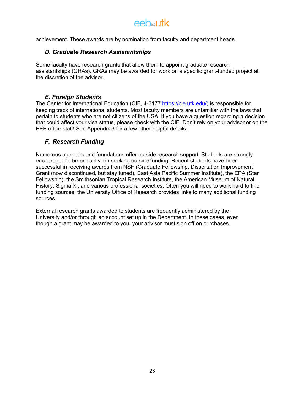achievement. These awards are by nomination from faculty and department heads.

## *D. Graduate Research Assistantships*

Some faculty have research grants that allow them to appoint graduate research assistantships (GRAs). GRAs may be awarded for work on a specific grant-funded project at the discretion of the advisor.

## *E. Foreign Students*

The Center for International Education (CIE, 4-3177 https://cie.utk.edu/) is responsible for keeping track of international students. Most faculty members are unfamiliar with the laws that pertain to students who are not citizens of the USA. If you have a question regarding a decision that could affect your visa status, please check with the CIE. Don't rely on your advisor or on the EEB office staff! See Appendix 3 for a few other helpful details.

### *F. Research Funding*

Numerous agencies and foundations offer outside research support. Students are strongly encouraged to be pro-active in seeking outside funding. Recent students have been successful in receiving awards from NSF (Graduate Fellowship, Dissertation Improvement Grant (now discontinued, but stay tuned), East Asia Pacific Summer Institute), the EPA (Star Fellowship), the Smithsonian Tropical Research Institute, the American Museum of Natural History, Sigma Xi, and various professional societies. Often you will need to work hard to find funding sources; the University Office of Research provides links to many additional funding sources.

External research grants awarded to students are frequently administered by the University and/or through an account set up in the Department. In these cases, even though a grant may be awarded to you, your advisor must sign off on purchases.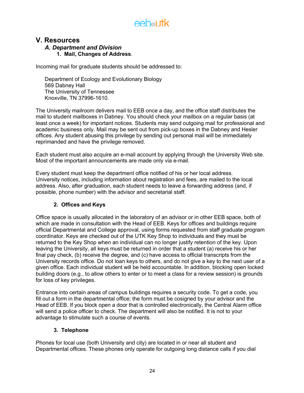## **V. Resources**

## *A. Department and Division* **1. Mail, Changes of Address**.

Incoming mail for graduate students should be addressed to:

Department of Ecology and Evolutionary Biology 569 Dabney Hall The University of Tennessee Knoxville, TN 37996-1610.

The University mailroom delivers mail to EEB once a day, and the office staff distributes the mail to student mailboxes in Dabney. You should check your mailbox on a regular basis (at least once a week) for important notices. Students may send outgoing mail for professional and academic business only. Mail may be sent out from pick-up boxes in the Dabney and Hesler offices. Any student abusing this privilege by sending out personal mail will be immediately reprimanded and have the privilege removed.

Each student must also acquire an e-mail account by applying through the University Web site. Most of the important announcements are made only via e-mail.

Every student must keep the department office notified of his or her local address. University notices, including information about registration and fees, are mailed to the local address. Also, after graduation, each student needs to leave a forwarding address (and, if possible, phone number) with the advisor and secretarial staff.

## **2. Offices and Keys**

Office space is usually allocated in the laboratory of an advisor or in other EEB space, both of which are made in consultation with the Head of EEB. Keys for offices and buildings require official Departmental and College approval, using forms requested from staff graduate program coordinator. Keys are checked out of the UTK Key Shop to individuals and they must be returned to the Key Shop when an individual can no longer justify retention of the key. Upon leaving the University, all keys must be returned in order that a student (a) receive his or her final pay check, (b) receive the degree, and (c) have access to official transcripts from the University records office. Do not loan keys to others, and do not give a key to the next user of a given office. Each individual student will be held accountable. In addition, blocking open locked building doors (e.g., to allow others to enter or to meet a class for a review session) is grounds for loss of key privileges.

Entrance into certain areas of campus buildings requires a security code. To get a code, you fill out a form in the departmental office; the form must be cosigned by your advisor and the Head of EEB. If you block open a door that is controlled electronically, the Central Alarm office will send a police officer to check. The department will also be notified. It is not to your advantage to stimulate such a course of events.

## **3. Telephone**

Phones for local use (both University and city) are located in or near all student and Departmental offices. These phones only operate for outgoing long distance calls if you dial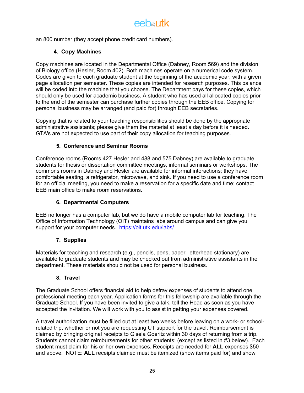# eebautk

an 800 number (they accept phone credit card numbers).

## **4. Copy Machines**

Copy machines are located in the Departmental Office (Dabney, Room 569) and the division of Biology office (Hesler, Room 402). Both machines operate on a numerical code system. Codes are given to each graduate student at the beginning of the academic year, with a given page allocation per semester. These copies are intended for research purposes. This balance will be coded into the machine that you choose. The Department pays for these copies, which should only be used for academic business. A student who has used all allocated copies prior to the end of the semester can purchase further copies through the EEB office. Copying for personal business may be arranged (and paid for) through EEB secretaries.

Copying that is related to your teaching responsibilities should be done by the appropriate administrative assistants; please give them the material at least a day before it is needed. GTA's are not expected to use part of their copy allocation for teaching purposes.

### **5. Conference and Seminar Rooms**

Conference rooms (Rooms 427 Hesler and 488 and 575 Dabney) are available to graduate students for thesis or dissertation committee meetings, informal seminars or workshops. The commons rooms in Dabney and Hesler are available for informal interactions; they have comfortable seating, a refrigerator, microwave, and sink. If you need to use a conference room for an official meeting, you need to make a reservation for a specific date and time; contact EEB main office to make room reservations.

## **6. Departmental Computers**

EEB no longer has a computer lab, but we do have a mobile computer lab for teaching. The Office of Information Technology (OIT) maintains labs around campus and can give you support for your computer needs. https://oit.utk.edu/labs/

## **7. Supplies**

Materials for teaching and research (e.g., pencils, pens, paper, letterhead stationary) are available to graduate students and may be checked out from administrative assistants in the department. These materials should not be used for personal business.

### **8. Travel**

The Graduate School offers financial aid to help defray expenses of students to attend one professional meeting each year. Application forms for this fellowship are available through the Graduate School. If you have been invited to give a talk, tell the Head as soon as you have accepted the invitation. We will work with you to assist in getting your expenses covered.

A travel authorization must be filled out at least two weeks before leaving on a work- or schoolrelated trip, whether or not you are requesting UT support for the travel. Reimbursement is claimed by bringing original receipts to Gisela Goeritz within 30 days of returning from a trip. Students cannot claim reimbursements for other students; (except as listed in #3 below). Each student must claim for his or her own expenses. Receipts are needed for **ALL** expenses \$50 and above. NOTE: **ALL** receipts claimed must be itemized (show items paid for) and show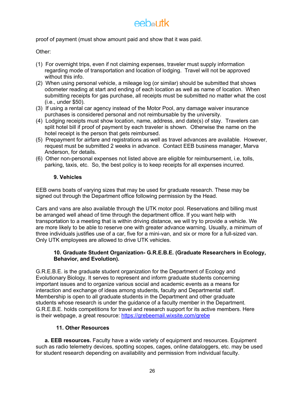proof of payment (must show amount paid and show that it was paid.

Other:

- (1) For overnight trips, even if not claiming expenses, traveler must supply information regarding mode of transportation and location of lodging. Travel will not be approved without this info.
- (2) When using personal vehicle, a mileage log (or similar) should be submitted that shows odometer reading at start and ending of each location as well as name of location. When submitting receipts for gas purchase, all receipts must be submitted no matter what the cost (i.e., under \$50).
- (3) If using a rental car agency instead of the Motor Pool, any damage waiver insurance purchases is considered personal and not reimbursable by the university.
- (4) Lodging receipts must show location, name, address, and date(s) of stay. Travelers can split hotel bill if proof of payment by each traveler is shown. Otherwise the name on the hotel receipt is the person that gets reimbursed.
- (5) Prepayment for airfare and registrations as well as travel advances are available. However, request must be submitted 2 weeks in advance. Contact EEB business manager, Marva Anderson, for details.
- (6) Other non-personal expenses not listed above are eligible for reimbursement, i.e, tolls, parking, taxis, etc. So, the best policy is to keep receipts for all expenses incurred.

### **9. Vehicles**

EEB owns boats of varying sizes that may be used for graduate research. These may be signed out through the Department office following permission by the Head.

Cars and vans are also available through the UTK motor pool. Reservations and billing must be arranged well ahead of time through the department office. If you want help with transportation to a meeting that is within driving distance, we will try to provide a vehicle. We are more likely to be able to reserve one with greater advance warning. Usually, a minimum of three individuals justifies use of a car, five for a mini-van, and six or more for a full-sized van. Only UTK employees are allowed to drive UTK vehicles.

### **10. Graduate Student Organization- G.R.E.B.E. (Graduate Researchers in Ecology, Behavior, and Evolution).**

G.R.E.B.E. is the graduate student organization for the Department of Ecology and Evolutionary Biology. It serves to represent and inform graduate students concerning important issues and to organize various social and academic events as a means for interaction and exchange of ideas among students, faculty and Departmental staff. Membership is open to all graduate students in the Department and other graduate students whose research is under the guidance of a faculty member in the Department. G.R.E.B.E. holds competitions for travel and research support for its active members. Here is their webpage, a great resource: https://grebeemail.wixsite.com/grebe

## **11. Other Resources**

**a. EEB resources.** Faculty have a wide variety of equipment and resources. Equipment such as radio telemetry devices, spotting scopes, cages, online dataloggers, etc. may be used for student research depending on availability and permission from individual faculty.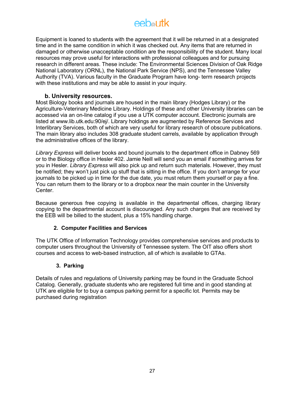# $A$   $A$   $B$   $B$   $B$   $B$   $B$

Equipment is loaned to students with the agreement that it will be returned in at a designated time and in the same condition in which it was checked out. Any items that are returned in damaged or otherwise unacceptable condition are the responsibility of the student. Many local resources may prove useful for interactions with professional colleagues and for pursuing research in different areas. These include: The Environmental Sciences Division of Oak Ridge National Laboratory (ORNL), the National Park Service (NPS), and the Tennessee Valley Authority (TVA). Various faculty in the Graduate Program have long- term research projects with these institutions and may be able to assist in your inquiry.

## **b. University resources.**

Most Biology books and journals are housed in the main library (Hodges Library) or the Agriculture-Veterinary Medicine Library. Holdings of these and other University libraries can be accessed via an on-line catalog if you use a UTK computer account. Electronic journals are listed at www.lib.utk.edu:90/ej/. Library holdings are augmented by Reference Services and Interlibrary Services, both of which are very useful for library research of obscure publications. The main library also includes 308 graduate student carrels, available by application through the administrative offices of the library.

*Library Express* will deliver books and bound journals to the department office in Dabney 569 or to the Biology office in Hesler 402. Jamie Neill will send you an email if something arrives for you in Hesler. *Library Express* will also pick up and return such materials. However, they must be notified; they won't just pick up stuff that is sitting in the office. If you don't arrange for your journals to be picked up in time for the due date, you must return them yourself or pay a fine. You can return them to the library or to a dropbox near the main counter in the University Center.

Because generous free copying is available in the departmental offices, charging library copying to the departmental account is discouraged. Any such charges that are received by the EEB will be billed to the student, plus a 15% handling charge.

### **2. Computer Facilities and Services**

The UTK Office of Information Technology provides comprehensive services and products to computer users throughout the University of Tennessee system. The OIT also offers short courses and access to web-based instruction, all of which is available to GTAs.

### **3. Parking**

Details of rules and regulations of University parking may be found in the Graduate School Catalog. Generally, graduate students who are registered full time and in good standing at UTK are eligible for to buy a campus parking permit for a specific lot. Permits may be purchased during registration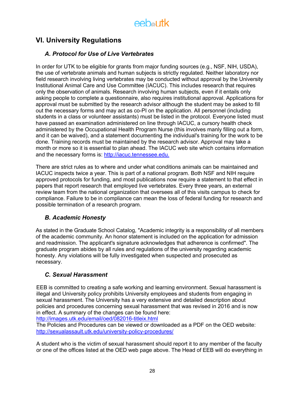## **VI. University Regulations**

## *A. Protocol for Use of Live Vertebrates*

In order for UTK to be eligible for grants from major funding sources (e.g., NSF, NIH, USDA). the use of vertebrate animals and human subjects is strictly regulated. Neither laboratory nor field research involving living vertebrates may be conducted without approval by the University Institutional Animal Care and Use Committee (IACUC). This includes research that requires only the observation of animals. Research involving human subjects, even if it entails only asking people to complete a questionnaire, also requires institutional approval. Applications for approval must be submitted by the research advisor although the student may be asked to fill out the necessary forms and may act as co-PI on the application. All personnel (including students in a class or volunteer assistants) must be listed in the protocol. Everyone listed must have passed an examination administered on line through IACUC, a cursory health check administered by the Occupational Health Program Nurse (this involves manly filling out a form, and it can be waived), and a statement documenting the individual's training for the work to be done. Training records must be maintained by the research advisor. Approval may take a month or more so it is essential to plan ahead. The IACUC web site which contains information and the necessary forms is: http://iacuc.tennessee.edu.

There are strict rules as to where and under what conditions animals can be maintained and IACUC inspects twice a year. This is part of a national program. Both NSF and NIH require approved protocols for funding, and most publications now require a statement to that effect in papers that report research that employed live vertebrates. Every three years, an external review team from the national organization that oversees all of this visits campus to check for compliance. Failure to be in compliance can mean the loss of federal funding for research and possible termination of a research program.

## *B. Academic Honesty*

As stated in the Graduate School Catalog, "Academic integrity is a responsibility of all members of the academic community. An honor statement is included on the application for admission and readmission. The applicant's signature acknowledges that adherence is confirmed". The graduate program abides by all rules and regulations of the university regarding academic honesty. Any violations will be fully investigated when suspected and prosecuted as necessary.

## *C. Sexual Harassment*

EEB is committed to creating a safe working and learning environment. Sexual harassment is illegal and University policy prohibits University employees and students from engaging in sexual harassment. The University has a very extensive and detailed description about policies and procedures concerning sexual harassment that was revised in 2016 and is now in effect. A summary of the changes can be found here:

http://images.utk.edu/email/oed/082016-titleix.html

The Policies and Procedures can be viewed or downloaded as a PDF on the OED website: http://sexualassault.utk.edu/university-policy-procedures/

A student who is the victim of sexual harassment should report it to any member of the faculty or one of the offices listed at the OED web page above. The Head of EEB will do everything in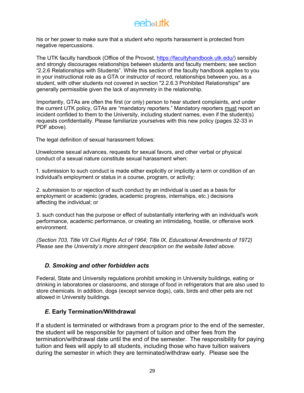his or her power to make sure that a student who reports harassment is protected from negative repercussions.

The UTK faculty handbook (Office of the Provost, https://facultyhandbook.utk.edu/) sensibly and strongly discourages relationships between students and faculty members; see section "2.2.6 Relationships with Students". While this section of the faculty handbook applies to you in your instructional role as a GTA or instructor of record, relationships between you, as a student, with other students not covered in section "2.2.6.3 Prohibited Relationships" are generally permissible given the lack of asymmetry in the relationship.

Importantly, GTAs are often the first (or only) person to hear student complaints, and under the current UTK policy, GTAs are "mandatory reporters." Mandatory reporters must report an incident confided to them to the University, including student names, even if the student(s) requests confidentiality. Please familiarize yourselves with this new policy (pages 32-33 in PDF above).

The legal definition of sexual harassment follows:

Unwelcome sexual advances, requests for sexual favors, and other verbal or physical conduct of a sexual nature constitute sexual harassment when:

1. submission to such conduct is made either explicitly or implicitly a term or condition of an individual's employment or status in a course, program, or activity;

2. submission to or rejection of such conduct by an individual is used as a basis for employment or academic (grades, academic progress, internships, etc.) decisions affecting the individual; or

3. such conduct has the purpose or effect of substantially interfering with an individual's work performance, academic performance, or creating an intimidating, hostile, or offensive work environment.

*(Section 703, Title VII Civil Rights Act of 1964; Title IX, Educational Amendments of 1972) Please see the University's more stringent description on the website listed above.* 

## *D. Smoking and other forbidden acts*

Federal, State and University regulations prohibit smoking in University buildings, eating or drinking in laboratories or classrooms, and storage of food in refrigerators that are also used to store chemicals. In addition, dogs (except service dogs), cats, birds and other pets are not allowed in University buildings.

## *E.* **Early Termination/Withdrawal**

If a student is terminated or withdraws from a program prior to the end of the semester, the student will be responsible for payment of tuition and other fees from the termination/withdrawal date until the end of the semester. The responsibility for paying tuition and fees will apply to all students, including those who have tuition waivers during the semester in which they are terminated/withdraw early. Please see the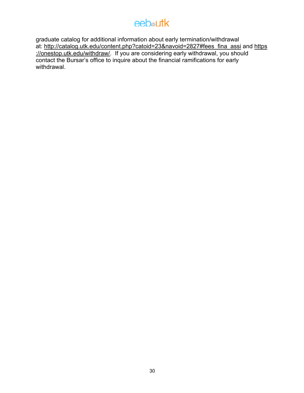## **eeb**<sup>a</sup>utk

graduate catalog for additional information about early termination/withdrawal at: http://catalog.utk.edu/content.php?catoid=23&navoid=2827#fees\_fina\_assi and https ://onestop.utk.edu/withdraw/. If you are considering early withdrawal, you should contact the Bursar's office to inquire about the financial ramifications for early withdrawal.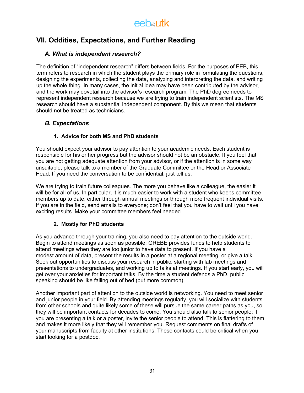## **VII. Oddities, Expectations, and Further Reading**

## *A. What is independent research?*

The definition of "independent research" differs between fields. For the purposes of EEB, this term refers to research in which the student plays the primary role in formulating the questions, designing the experiments, collecting the data, analyzing and interpreting the data, and writing up the whole thing. In many cases, the initial idea may have been contributed by the advisor, and the work may dovetail into the advisor's research program. The PhD degree needs to represent independent research because we are trying to train independent scientists. The MS research should have a substantial independent component. By this we mean that students should not be treated as technicians.

## *B. Expectations*

## **1. Advice for both MS and PhD students**

You should expect your advisor to pay attention to your academic needs. Each student is responsible for his or her progress but the advisor should not be an obstacle. If you feel that you are not getting adequate attention from your advisor, or if the attention is in some way unsuitable, please talk to a member of the Graduate Committee or the Head or Associate Head. If you need the conversation to be confidential, just tell us.

We are trying to train future colleagues. The more you behave like a colleague, the easier it will be for all of us. In particular, it is much easier to work with a student who keeps committee members up to date, either through annual meetings or through more frequent individual visits. If you are in the field, send emails to everyone; don't feel that you have to wait until you have exciting results. Make your committee members feel needed.

## **2. Mostly for PhD students**

As you advance through your training, you also need to pay attention to the outside world. Begin to attend meetings as soon as possible; GREBE provides funds to help students to attend meetings when they are too junior to have data to present. If you have a modest amount of data, present the results in a poster at a regional meeting, or give a talk. Seek out opportunities to discuss your research in public, starting with lab meetings and presentations to undergraduates, and working up to talks at meetings. If you start early, you will get over your anxieties for important talks. By the time a student defends a PhD, public speaking should be like falling out of bed (but more common).

Another important part of attention to the outside world is networking. You need to meet senior and junior people in your field. By attending meetings regularly, you will socialize with students from other schools and quite likely some of these will pursue the same career paths as you, so they will be important contacts for decades to come. You should also talk to senior people; if you are presenting a talk or a poster, invite the senior people to attend. This is flattering to them and makes it more likely that they will remember you. Request comments on final drafts of your manuscripts from faculty at other institutions. These contacts could be critical when you start looking for a postdoc.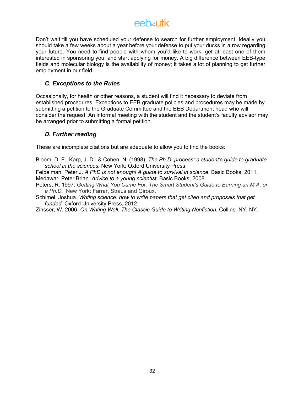## eebautk

Don't wait till you have scheduled your defense to search for further employment. Ideally you should take a few weeks about a year before your defense to put your ducks in a row regarding your future. You need to find people with whom you'd like to work, get at least one of them interested in sponsoring you, and start applying for money. A big difference between EEB-type fields and molecular biology is the availability of money; it takes a lot of planning to get further employment in our field.

## *C. Exceptions to the Rules*

Occasionally, for health or other reasons, a student will find it necessary to deviate from established procedures. Exceptions to EEB graduate policies and procedures may be made by submitting a petition to the Graduate Committee and the EEB Department head who will consider the request. An informal meeting with the student and the student's faculty advisor may be arranged prior to submitting a formal petition.

## *D. Further reading*

These are incomplete citations but are adequate to allow you to find the books:

Bloom, D. F., Karp, J. D., & Cohen, N. (1998). *The Ph.D. process: a student's guide to graduate school in the sciences.* New York: Oxford University Press.

Feibelman, Peter J. *A PhD is not enough! A guide to survival in science*. Basic Books, 2011. Medawar, Peter Brian. *Advice to a young scientist*. Basic Books, 2008.

- Peters, R. 1997. *Getting What You Came For: The Smart Student's Guide to Earning an M.A. or a Ph.D*. New York: Farrar, Straus and Giroux.
- Schimel, Joshua. *Writing science: how to write papers that get cited and proposals that get funded*. Oxford University Press, 2012.

Zinsser, W. 2006. *On Writing Well. The Classic Guide to Writing Nonfiction.* Collins. NY, NY.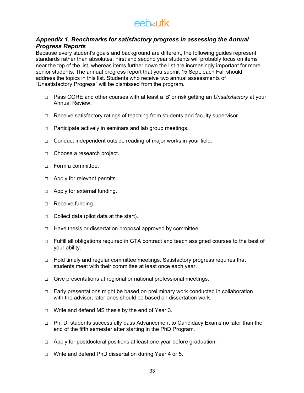## *Appendix 1. Benchmarks for satisfactory progress in assessing the Annual Progress Reports*

Because every student's goals and background are different, the following guides represent standards rather than absolutes. First and second year students will probably focus on items near the top of the list, whereas items further down the list are increasingly important for more senior students. The annual progress report that you submit 15 Sept. each Fall should address the topics in this list. Students who receive two annual assessments of "Unsatisfactory Progress" will be dismissed from the program.

- ¨ Pass CORE and other courses with at least a 'B' or risk getting an *Unsatisfactory* at your Annual Review.
- $\Box$  Receive satisfactory ratings of teaching from students and faculty supervisor.
- $\Box$  Participate actively in seminars and lab group meetings.
- $\Box$  Conduct independent outside reading of major works in your field.
- $\Box$  Choose a research project.
- □ Form a committee.
- $\Box$  Apply for relevant permits.
- $\Box$  Apply for external funding.
- □ Receive funding.
- $\Box$  Collect data (pilot data at the start).
- $\Box$  Have thesis or dissertation proposal approved by committee.
- $\Box$  Fulfill all obligations required in GTA contract and teach assigned courses to the best of your ability.
- $\Box$  Hold timely and regular committee meetings. Satisfactory progress requires that students meet with their committee at least once each year.
- $\Box$  Give presentations at regional or national professional meetings.
- $\Box$  Early presentations might be based on preliminary work conducted in collaboration with the advisor; later ones should be based on dissertation work.
- $\Box$  Write and defend MS thesis by the end of Year 3.
- $\Box$  Ph. D. students successfully pass Advancement to Candidacy Exams no later than the end of the fifth semester after starting in the PhD Program.
- $\Box$  Apply for postdoctoral positions at least one year before graduation.
- □ Write and defend PhD dissertation during Year 4 or 5.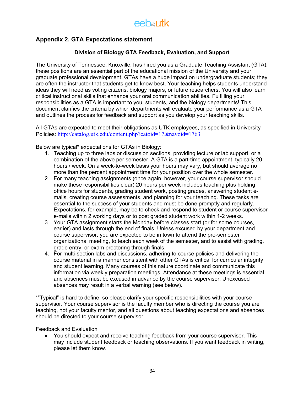## **Appendix 2. GTA Expectations statement**

### **Division of Biology GTA Feedback, Evaluation, and Support**

The University of Tennessee, Knoxville, has hired you as a Graduate Teaching Assistant (GTA); these positions are an essential part of the educational mission of the University and your graduate professional development. GTAs have a huge impact on undergraduate students; they are often the instructor that students get to know best. Your teaching helps students understand ideas they will need as voting citizens, biology majors, or future researchers. You will also learn critical instructional skills that enhance your oral communication abilities. Fulfilling your responsibilities as a GTA is important to you, students, and the biology departments! This document clarifies the criteria by which departments will evaluate your performance as a GTA and outlines the process for feedback and support as you develop your teaching skills.

All GTAs are expected to meet their obligations as UTK employees, as specified in University Policies: http://catalog.utk.edu/content.php?catoid=17&navoid=1763

Below are typical\* expectations for GTAs in Biology:

- 1. Teaching up to three labs or discussion sections, providing lecture or lab support, or a combination of the above per semester. A GTA is a part-time appointment, typically 20 hours / week. On a week-to-week basis your hours may vary, but should average no more than the percent appointment time for your position over the whole semester.
- 2. For many teaching assignments (once again, however, your course supervisor should make these responsibilities clear) 20 hours per week includes teaching plus holding office hours for students, grading student work, posting grades, answering student emails, creating course assessments, and planning for your teaching. These tasks are essential to the success of your students and must be done promptly and regularly. Expectations, for example, may be to check and respond to student or course supervisor e-mails within 2 working days or to post graded student work within 1-2 weeks.
- 3. Your GTA assignment starts the Monday before classes start (or for some courses, earlier) and lasts through the end of finals. Unless excused by your department and course supervisor, you are expected to be in town to attend the pre-semester organizational meeting, to teach each week of the semester, and to assist with grading, grade entry, or exam proctoring through finals.
- 4. For multi-section labs and discussions, adhering to course policies and delivering the course material in a manner consistent with other GTAs is critical for curricular integrity and student learning. Many courses of this nature coordinate and communicate this information via weekly preparation meetings. Attendance at these meetings is essential and absences must be excused in advance by the course supervisor. Unexcused absences may result in a verbal warning (see below).

\*"Typical" is hard to define, so please clarify your specific responsibilities with your course supervisor. Your course supervisor is the faculty member who is directing the course you are teaching, not your faculty mentor, and all questions about teaching expectations and absences should be directed to your course supervisor.

Feedback and Evaluation

• You should expect and receive teaching feedback from your course supervisor. This may include student feedback or teaching observations. If you want feedback in writing, please let them know.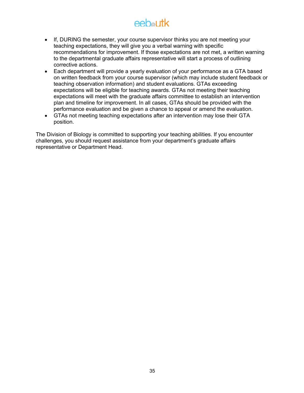- If, DURING the semester, your course supervisor thinks you are not meeting your teaching expectations, they will give you a verbal warning with specific recommendations for improvement. If those expectations are not met, a written warning to the departmental graduate affairs representative will start a process of outlining corrective actions.
- Each department will provide a yearly evaluation of your performance as a GTA based on written feedback from your course supervisor (which may include student feedback or teaching observation information) and student evaluations. GTAs exceeding expectations will be eligible for teaching awards. GTAs not meeting their teaching expectations will meet with the graduate affairs committee to establish an intervention plan and timeline for improvement. In all cases, GTAs should be provided with the performance evaluation and be given a chance to appeal or amend the evaluation.
- GTAs not meeting teaching expectations after an intervention may lose their GTA position.

The Division of Biology is committed to supporting your teaching abilities. If you encounter challenges, you should request assistance from your department's graduate affairs representative or Department Head.